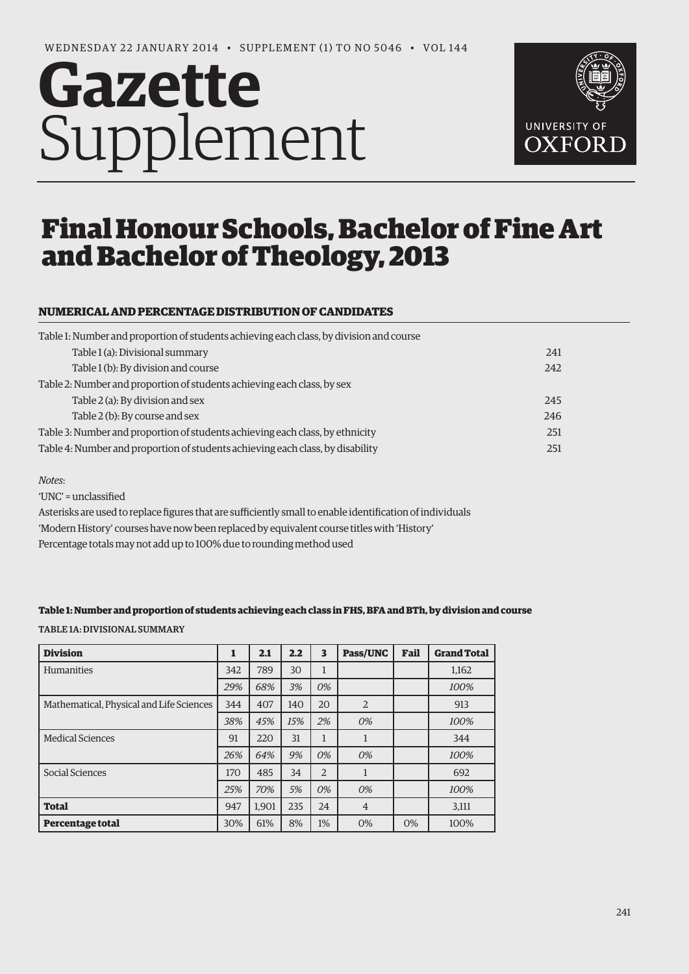# **Gazette** Supplement



# Final Honour Schools, Bachelor of Fine Art and Bachelor of Theology, 2013

## **NUMERICAL AND PERCENTAGE DISTRIBUTION OF CANDIDATES**

| Table 1: Number and proportion of students achieving each class, by division and course |     |
|-----------------------------------------------------------------------------------------|-----|
| Table 1 (a): Divisional summary                                                         | 241 |
| Table 1 (b): By division and course                                                     | 242 |
| Table 2: Number and proportion of students achieving each class, by sex                 |     |
| Table 2 (a): By division and sex                                                        | 245 |
| Table 2 (b): By course and sex                                                          | 246 |
| Table 3: Number and proportion of students achieving each class, by ethnicity           | 251 |
| Table 4: Number and proportion of students achieving each class, by disability          | 251 |
|                                                                                         |     |

#### *Notes*:

'UNC' = unclassified

Asterisks are used to replace figures that are sufficiently small to enable identification of individuals 'Modern History' courses have now been replaced by equivalent course titles with 'History'

Percentage totals may not add up to 100% due to rounding method used

#### **Table 1: Number and proportion of students achieving each class in FHS, BFA and BTh, by division and course**

Table 1a: Divisional Summary

| <b>Division</b>                          | 1   | 2.1   | 2.2 | 3              | Pass/UNC       | Fail | <b>Grand Total</b> |
|------------------------------------------|-----|-------|-----|----------------|----------------|------|--------------------|
| <b>Humanities</b>                        | 342 | 789   | 30  | $\mathbf{1}$   |                |      | 1,162              |
|                                          | 29% | 68%   | 3%  | 0%             |                |      | 100%               |
| Mathematical, Physical and Life Sciences | 344 | 407   | 140 | 20             | $\overline{2}$ |      | 913                |
|                                          | 38% | 45%   | 15% | 2%             | 0%             |      | 100%               |
| <b>Medical Sciences</b>                  | 91  | 220   | 31  | 1              |                |      | 344                |
|                                          | 26% | 64%   | 9%  | 0%             | 0%             |      | 100%               |
| Social Sciences                          | 170 | 485   | 34  | $\overline{2}$ |                |      | 692                |
|                                          | 25% | 70%   | 5%  | 0%             | 0%             |      | 100%               |
| <b>Total</b>                             | 947 | 1.901 | 235 | 24             | $\overline{4}$ |      | 3,111              |
| Percentage total                         | 30% | 61%   | 8%  | 1%             | 0%             | 0%   | 100%               |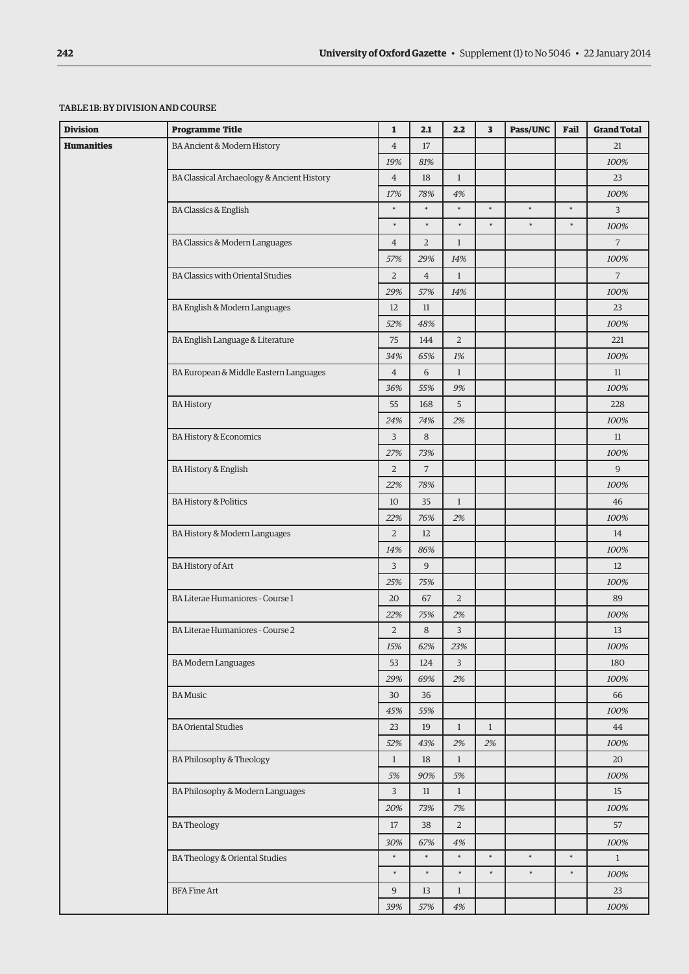#### <span id="page-1-0"></span>Table 1b: By division and course

| <b>Division</b>                                                    | <b>Programme Title</b>                     | $\mathbf{1}$   | 2.1            | 2.2            | 3            | Pass/UNC | Fail   | <b>Grand Total</b> |
|--------------------------------------------------------------------|--------------------------------------------|----------------|----------------|----------------|--------------|----------|--------|--------------------|
| <b>Humanities</b>                                                  | BA Ancient & Modern History                | $\overline{4}$ | 17             |                |              |          |        | 21                 |
|                                                                    |                                            | 19%            | 81%            |                |              |          |        | 100%               |
|                                                                    | BA Classical Archaeology & Ancient History | $\overline{4}$ | 18             | $\mathbf{1}$   |              |          |        | 23                 |
|                                                                    |                                            | 17%            | 78%            | 4%             |              |          |        | 100%               |
| <b>BA Classics &amp; English</b><br>BA Classics & Modern Languages |                                            |                | $\ast$         | $\ast$         | $\ast$       | $\ast$   | $\ast$ | $\mathbf{3}$       |
|                                                                    |                                            |                | $\ast$         | $\ast$         | $\ast$       | $\ast$   | $\ast$ | 100%               |
|                                                                    |                                            |                | $\overline{2}$ | $\mathbf{1}$   |              |          |        | $\overline{7}$     |
|                                                                    |                                            | 57%            | 29%            | 14%            |              |          |        | 100%               |
|                                                                    | <b>BA Classics with Oriental Studies</b>   | $\overline{2}$ | $\overline{4}$ | $\mathbf{1}$   |              |          |        | $\overline{7}$     |
|                                                                    |                                            | 29%            | 57%            | 14%            |              |          |        | 100%               |
|                                                                    | BA English & Modern Languages              | 12             | 11             |                |              |          |        | 23                 |
|                                                                    |                                            | 52%            | 48%            |                |              |          |        | 100%               |
|                                                                    | BA English Language & Literature           | 75             | 144            | $\overline{2}$ |              |          |        | 221                |
|                                                                    |                                            | 34%            | 65%            | $1\%$          |              |          |        | 100%               |
|                                                                    | BA European & Middle Eastern Languages     | $\overline{4}$ | 6              | $\mathbf{1}$   |              |          |        | 11                 |
|                                                                    |                                            | 36%            | 55%            | $9\%$          |              |          |        | 100%               |
|                                                                    | <b>BA History</b>                          | 55             | 168            | 5              |              |          |        | 228                |
|                                                                    |                                            | 24%            | 74%            | $2\%$          |              |          |        | 100%               |
|                                                                    | BA History & Economics                     | 3              | 8              |                |              |          |        | 11                 |
|                                                                    | 27%                                        | 73%            |                |                |              |          | 100%   |                    |
| <b>BA History &amp; English</b>                                    |                                            | $\overline{2}$ | $\overline{7}$ |                |              |          |        | 9                  |
|                                                                    |                                            | 22%            | 78%            |                |              |          |        | 100%               |
|                                                                    | <b>BA History &amp; Politics</b>           | 10             | 35             | $\mathbf{1}$   |              |          |        | 46                 |
|                                                                    |                                            | 22%            | 76%            | 2%             |              |          |        | 100%               |
|                                                                    | BA History & Modern Languages              | $\overline{2}$ | 12             |                |              |          |        | 14                 |
|                                                                    |                                            | 14%            | 86%            |                |              |          |        | 100%               |
|                                                                    | <b>BA History of Art</b>                   | 3              | $\overline{9}$ |                |              |          |        | 12                 |
|                                                                    |                                            | 25%            | 75%            |                |              |          |        | 100%               |
|                                                                    | BA Literae Humaniores - Course 1           | 20             | 67             | $\overline{2}$ |              |          |        | 89                 |
|                                                                    |                                            | 22%            | 75%            | 2%             |              |          |        | 100%               |
|                                                                    | BA Literae Humaniores - Course 2           | $\overline{2}$ | 8              | 3              |              |          |        | 13                 |
|                                                                    |                                            | 15%            | 62%            | 23%            |              |          |        | 100%               |
|                                                                    | <b>BA Modern Languages</b>                 | 53             | 124            | 3              |              |          |        | 180                |
|                                                                    |                                            | 29%            | 69%            | 2%             |              |          |        | 100%<br>66         |
|                                                                    | <b>BA Music</b>                            | 30<br>45%      | 36<br>55%      |                |              |          |        | 100%               |
|                                                                    | <b>BA Oriental Studies</b>                 | 23             | 19             | $\mathbf{1}$   | $\mathbf{1}$ |          |        | 44                 |
|                                                                    |                                            | 52%            | 43%            | $2\%$          | $2\%$        |          |        | 100%               |
|                                                                    | BA Philosophy & Theology                   | $\mathbf{1}$   | 18             | $\mathbf{1}$   |              |          |        | 20                 |
|                                                                    |                                            | 5%             | 90%            | 5%             |              |          |        | 100%               |
|                                                                    | BA Philosophy & Modern Languages           | 3              | 11             | $\mathbf{1}$   |              |          |        | 15                 |
|                                                                    |                                            | 20%            | 73%            | $7%$           |              |          |        | 100%               |
| <b>BATheology</b>                                                  |                                            | 17             | 38             | $\overline{2}$ |              |          |        | 57                 |
|                                                                    |                                            | 30%            | 67%            | 4%             |              |          |        | 100%               |
|                                                                    | BA Theology & Oriental Studies             | $\ast$         | $\ast$         | $\ast$         | $\ast$       | $\ast$   | $\ast$ | $\mathbf{1}$       |
|                                                                    |                                            | $\ast$         | $\ast$         | $\ast$         | $\ast$       | $\ast$   | $\ast$ | 100%               |
|                                                                    | <b>BFA Fine Art</b>                        | 9              | 13             | $\mathbf{1}$   |              |          |        | 23                 |
|                                                                    |                                            | 39%            | 57%            | $4\%$          |              |          |        | 100%               |
|                                                                    |                                            |                |                |                |              |          |        |                    |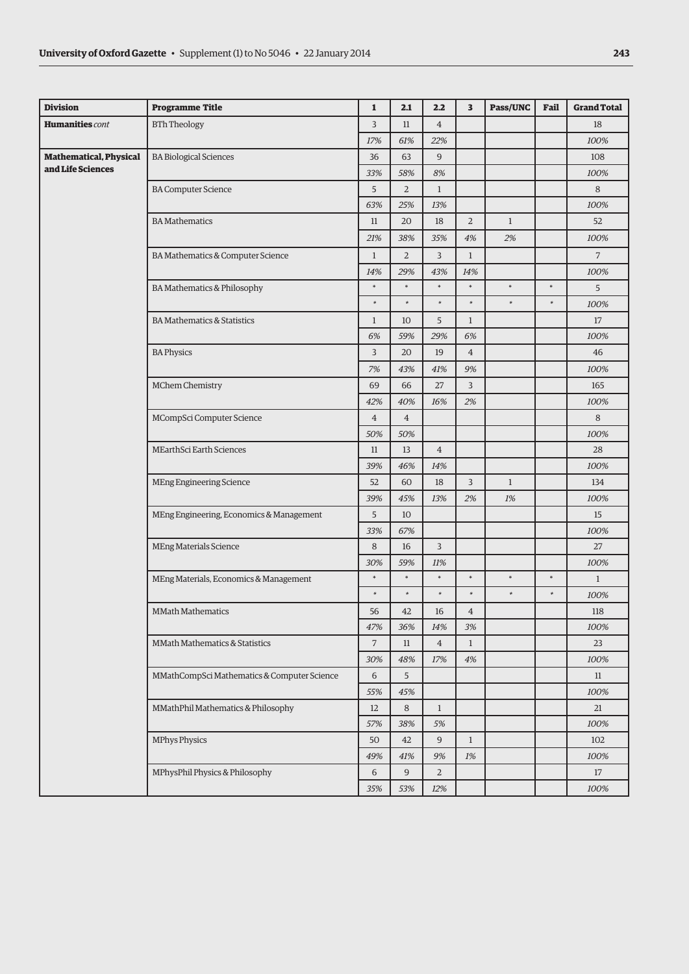| <b>Division</b>               | <b>Programme Title</b>                      | $\mathbf{1}$   | 2.1            | 2.2            | 3              | Pass/UNC     | Fail   | <b>Grand Total</b> |
|-------------------------------|---------------------------------------------|----------------|----------------|----------------|----------------|--------------|--------|--------------------|
| <b>Humanities</b> cont        | <b>BTh Theology</b>                         | 3              | 11             | $\overline{4}$ |                |              |        | 18                 |
|                               |                                             | 17%            | 61%            | 22%            |                |              |        | 100%               |
| <b>Mathematical, Physical</b> | <b>BA Biological Sciences</b>               | 36             | 63             | 9              |                |              |        | 108                |
| and Life Sciences             |                                             | 33%            | 58%            | $8\%$          |                |              |        | 100%               |
|                               | <b>BA Computer Science</b>                  | 5              | $\overline{2}$ | $\mathbf{1}$   |                |              |        | 8                  |
|                               |                                             | 63%            | 25%            | 13%            |                |              |        | 100%               |
|                               | <b>BA</b> Mathematics                       | 11             | 20             | 18             | $\overline{2}$ | $\mathbf{1}$ |        | 52                 |
|                               |                                             | 21%            | 38%            | 35%            | 4%             | 2%           |        | 100%               |
|                               | BA Mathematics & Computer Science           | $\mathbf{1}$   | $\overline{2}$ | 3              | $\mathbf{1}$   |              |        | $\overline{7}$     |
|                               |                                             | 14%            | 29%            | 43%            | 14%            |              |        | 100%               |
|                               | BA Mathematics & Philosophy                 | $\ast$         | $\ast$         | $\ast$         | $\ast$         | $\ast$       | $\ast$ | 5                  |
|                               |                                             | $\ast$         | $\ast$         | $\ast$         | $\ast$         | $\ast$       | $\ast$ | 100%               |
|                               | <b>BA Mathematics &amp; Statistics</b>      | $\mathbf{1}$   | 10             | 5              | $\mathbf{1}$   |              |        | 17                 |
|                               |                                             | 6%             | 59%            | 29%            | 6%             |              |        | 100%               |
|                               | <b>BA Physics</b>                           | 3              | 20             | 19             | $\overline{4}$ |              |        | 46                 |
|                               |                                             | 7%             | 43%            | 41%            | 9%             |              |        | 100%               |
|                               | MChem Chemistry                             | 69             | 66             | 27             | 3              |              |        | 165                |
|                               |                                             | 42%            | 40%            | 16%            | 2%             |              |        | 100%               |
| MCompSci Computer Science     |                                             | $\overline{4}$ | $\overline{4}$ |                |                |              |        | 8                  |
|                               |                                             | 50%            | 50%            |                |                |              |        | 100%               |
|                               | MEarthSci Earth Sciences                    |                | 13             | $\overline{4}$ |                |              |        | 28                 |
|                               |                                             | 39%            | 46%            | 14%            |                |              |        | 100%               |
|                               | MEng Engineering Science                    | 52             | 60             | 18             | 3              | $\mathbf{1}$ |        | 134                |
|                               |                                             | 39%            | 45%            | 13%            | 2%             | 1%           |        | 100%               |
|                               | MEng Engineering, Economics & Management    | 5              | 10             |                |                |              |        | 15                 |
|                               |                                             | 33%            | 67%            |                |                |              |        | 100%               |
|                               | MEng Materials Science                      | 8              | 16             | 3              |                |              |        | 27                 |
|                               |                                             | 30%            | 59%            | 11%            |                |              |        | 100%               |
|                               | MEng Materials, Economics & Management      | $\ast$         | $\ast$         | $\ast$         | $\ast$         | $\ast$       | $\ast$ | $\mathbf{1}$       |
|                               |                                             | $\ast$         | $\ast$         | $\ast$         | $\ast$         | $\ast$       | $\ast$ | 100%               |
|                               | <b>MMath Mathematics</b>                    | 56             | 42             | 16             | $\overline{4}$ |              |        | 118                |
|                               |                                             | 47%            | 36%            | 14%            | 3%             |              |        | 100%               |
|                               | MMath Mathematics & Statistics              | $\overline{7}$ | $11\,$         | $\overline{4}$ | $\mathbf{1}$   |              |        | 23                 |
|                               |                                             | 30%            | 48%            | 17%            | 4%             |              |        | 100%               |
|                               | MMathCompSci Mathematics & Computer Science | 6              | 5              |                |                |              |        | 11                 |
|                               |                                             | 55%<br>12      | 45%            |                |                |              |        | 100%               |
|                               | MMathPhil Mathematics & Philosophy          |                | 8              | $\mathbf{1}$   |                |              |        | 21                 |
|                               |                                             | 57%<br>50      | 38%            | 5%             |                |              |        | 100%               |
|                               | MPhys Physics                               |                | 42             | 9              | $\mathbf{1}$   |              |        | 102                |
|                               |                                             | 49%            | 41%            | 9%             | $1\%$          |              |        | 100%               |
|                               | MPhysPhil Physics & Philosophy              | 6              | 9              | $\overline{2}$ |                |              |        | 17                 |
|                               |                                             | 35%            | 53%            | 12%            |                |              |        | 100%               |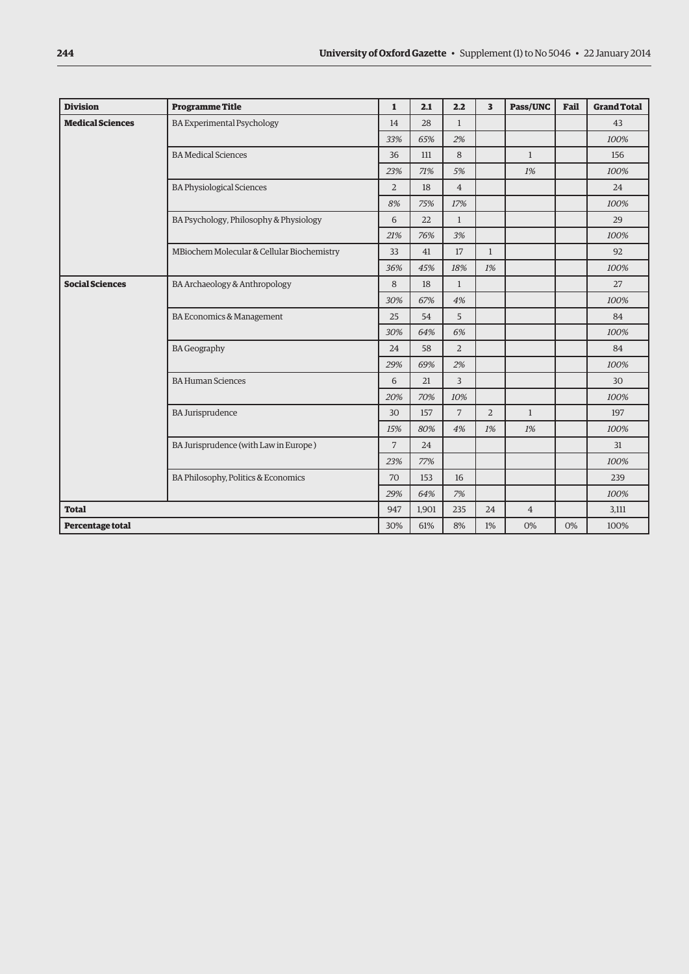| <b>Division</b>                                                                                 | <b>Programme Title</b>                     | $\mathbf{1}$   | 2.1   | 2.2            | 3              | Pass/UNC       | Fail | <b>Grand Total</b> |
|-------------------------------------------------------------------------------------------------|--------------------------------------------|----------------|-------|----------------|----------------|----------------|------|--------------------|
| <b>Medical Sciences</b>                                                                         | <b>BA Experimental Psychology</b>          | 14             | 28    | $\mathbf{1}$   |                |                |      | 43                 |
|                                                                                                 | 33%                                        | 65%            | 2%    |                |                |                | 100% |                    |
|                                                                                                 | 36                                         | 111            | 8     |                | $\mathbf{1}$   |                | 156  |                    |
|                                                                                                 | 23%                                        | 71%            | 5%    |                | 1%             |                | 100% |                    |
|                                                                                                 | <b>BA Physiological Sciences</b>           | $\overline{2}$ | 18    | $\overline{4}$ |                |                |      | 24                 |
|                                                                                                 | 8%                                         | 75%            | 17%   |                |                |                | 100% |                    |
|                                                                                                 | BA Psychology, Philosophy & Physiology     | 6              | 22    | $\mathbf{1}$   |                |                |      | 29                 |
|                                                                                                 |                                            |                |       |                |                |                |      | 100%               |
|                                                                                                 | MBiochem Molecular & Cellular Biochemistry | 33             | 41    | 17             | $\mathbf{1}$   |                |      | 92                 |
|                                                                                                 |                                            | 36%            | 45%   | 18%            | 1%             |                |      | 100%               |
| <b>Social Sciences</b><br>BA Archaeology & Anthropology<br><b>BA Economics &amp; Management</b> |                                            | 8              | 18    | $\mathbf{1}$   |                |                |      | 27                 |
|                                                                                                 |                                            | 30%            | 67%   | 4%             |                |                |      | 100%               |
|                                                                                                 |                                            | 25             | 54    | 5              |                |                |      | 84                 |
|                                                                                                 |                                            | 30%            | 64%   | 6%             |                |                |      | 100%               |
|                                                                                                 | <b>BA</b> Geography                        | 24             | 58    | $\overline{2}$ |                |                |      | 84                 |
|                                                                                                 |                                            | 29%            | 69%   | 2%             |                |                |      | 100%               |
|                                                                                                 | <b>BA Human Sciences</b>                   | 6              | 21    | 3              |                |                |      | 30                 |
|                                                                                                 |                                            | 20%            | 70%   | 10%            |                |                |      | 100%               |
|                                                                                                 | <b>BA Jurisprudence</b>                    | 30             | 157   | $\overline{7}$ | $\overline{2}$ | $\mathbf{1}$   |      | 197                |
|                                                                                                 |                                            | 15%            | 80%   | 4%             | 1%             | 1%             |      | 100%               |
|                                                                                                 | BA Jurisprudence (with Law in Europe)      | $\overline{7}$ | 24    |                |                |                |      | 31                 |
|                                                                                                 |                                            | 23%            | 77%   |                |                |                |      | 100%               |
| BA Philosophy, Politics & Economics                                                             |                                            |                | 153   | 16             |                |                |      | 239                |
|                                                                                                 |                                            | 29%            | 64%   | 7%             |                |                |      | 100%               |
| <b>Total</b>                                                                                    |                                            | 947            | 1,901 | 235            | 24             | $\overline{4}$ |      | 3,111              |
| Percentage total                                                                                |                                            | 30%            | 61%   | 8%             | 1%             | 0%             | 0%   | 100%               |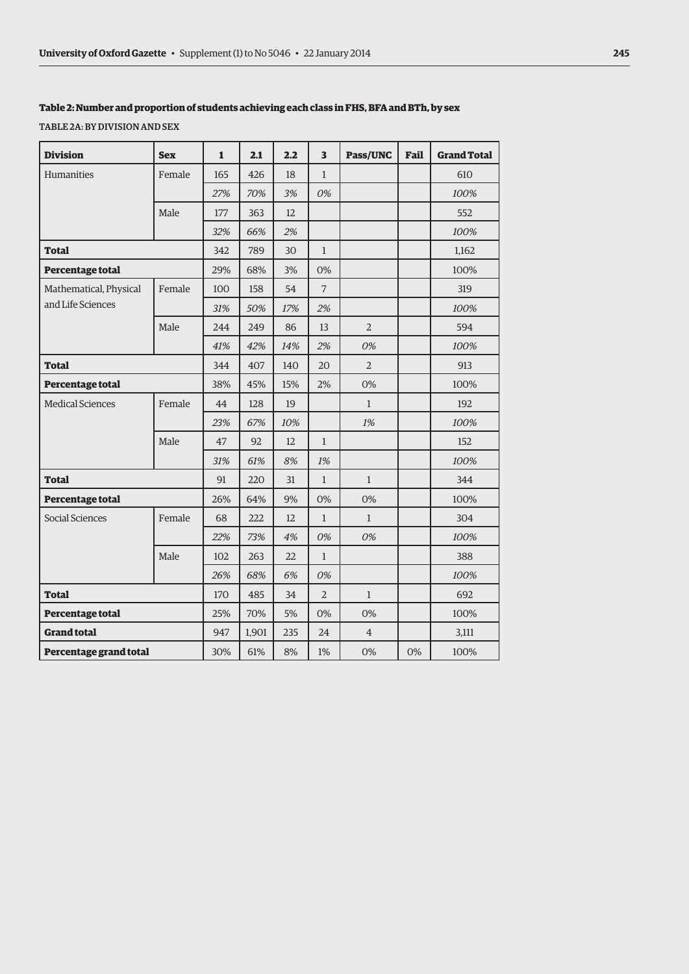#### <span id="page-4-0"></span>**Table 2: Number and proportion of students achieving each class in FHS, BFA and BTh, by sex**

TABLE 2A: BY DIVISION AND SEX

| <b>Division</b>         | <b>Sex</b> | 1   | 2.1   | 2.2               | 3              | Pass/UNC       | Fail | <b>Grand Total</b> |
|-------------------------|------------|-----|-------|-------------------|----------------|----------------|------|--------------------|
| Humanities              | Female     | 165 | 426   | 18                | $\mathbf{1}$   |                |      | 610                |
|                         |            | 27% | 70%   | 3%                | 0%             |                |      | 100%               |
|                         | Male       | 177 | 363   | 12                |                |                |      | 552                |
|                         |            | 32% | 66%   | 2%                |                |                |      | 100%               |
| <b>Total</b>            |            | 342 | 789   | 30                | $\mathbf{1}$   |                |      | 1,162              |
| Percentage total        |            | 29% | 68%   | 3%                | 0%             |                |      | 100%               |
| Mathematical, Physical  | Female     | 100 | 158   | 54                | 7              |                |      | 319                |
| and Life Sciences       |            | 31% | 50%   | 17%               | 2%             |                |      | 100%               |
|                         | Male       | 244 | 249   | 86                | 13             | $\overline{2}$ |      | 594                |
|                         |            | 41% | 42%   | 14%               | 2%             | 0%             |      | 100%               |
| <b>Total</b>            |            | 344 | 407   | 140               | 20             | $\overline{2}$ |      | 913                |
| Percentage total        |            | 38% | 45%   | 15%               | 2%             | 0%             |      | 100%               |
| <b>Medical Sciences</b> | Female     | 44  | 128   | 19                |                | $\mathbf{1}$   |      | 192                |
|                         |            | 23% | 67%   | 10%               |                | 1%             |      | 100%               |
|                         | Male       | 47  | 92    | $12 \overline{ }$ | $\mathbf{1}$   |                |      | 152                |
|                         |            | 31% | 61%   | 8%                | 1%             |                |      | 100%               |
| <b>Total</b>            |            | 91  | 220   | 31                | $\mathbf{1}$   | $\mathbf{1}$   |      | 344                |
| Percentage total        |            | 26% | 64%   | 9%                | 0%             | 0%             |      | 100%               |
| Social Sciences         | Female     | 68  | 222   | 12                | $\mathbf{1}$   | $\mathbf{1}$   |      | 304                |
|                         |            | 22% | 73%   | 4%                | 0%             | 0%             |      | 100%               |
|                         | Male       | 102 | 263   | 22                | $\mathbf{1}$   |                |      | 388                |
|                         |            | 26% | 68%   | 6%                | 0%             |                |      | 100%               |
| <b>Total</b>            |            | 170 | 485   | 34                | $\overline{2}$ | $\mathbf{1}$   |      | 692                |
| Percentage total        |            | 25% | 70%   | 5%                | 0%             | 0%             |      | 100%               |
| <b>Grand total</b>      |            |     | 1,901 | 235               | 24             | $\overline{4}$ |      | 3,111              |
| Percentage grand total  |            | 30% | 61%   | 8%                | 1%             | 0%             | 0%   | 100%               |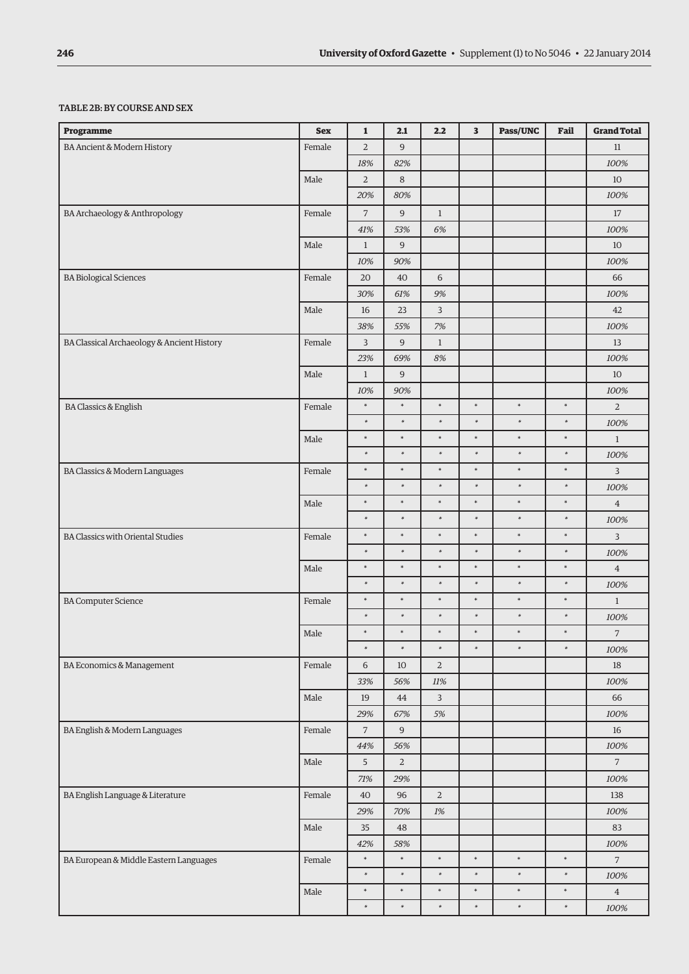### <span id="page-5-0"></span>TABLE 2B: BY COURSE AND SEX

| <b>Programme</b>                           | <b>Sex</b> | $\mathbf{1}$     | 2.1              | 2.2                   | 3                | Pass/UNC         | Fail             | <b>Grand Total</b> |
|--------------------------------------------|------------|------------------|------------------|-----------------------|------------------|------------------|------------------|--------------------|
| BA Ancient & Modern History                | Female     | $\overline{2}$   | $\overline{9}$   |                       |                  |                  |                  | $11\,$             |
|                                            |            | 18%              | 82%              |                       |                  |                  |                  | 100%               |
|                                            | Male       | $\overline{2}$   | $\,8\,$          |                       |                  |                  |                  | 10                 |
|                                            |            | 20%              | 80%              |                       |                  |                  |                  | 100%               |
| BA Archaeology & Anthropology              | Female     | $\overline{7}$   | $\overline{9}$   | $\mathbf{1}$          |                  |                  |                  | 17                 |
|                                            |            | 41%              | 53%              | 6%                    |                  |                  |                  | 100%               |
|                                            | Male       | $\mathbf{1}$     | $\overline{9}$   |                       |                  |                  |                  | 10                 |
|                                            |            | 10%              | 90%              |                       |                  |                  |                  | 100%               |
| <b>BA Biological Sciences</b>              | Female     | 20               | 40               | 6                     |                  |                  |                  | 66                 |
|                                            |            | 30%              | 61%              | 9%                    |                  |                  |                  | 100%               |
|                                            | Male       | 16               | 23               | 3                     |                  |                  |                  | 42                 |
|                                            |            | 38%              | 55%              | 7%                    |                  |                  |                  | 100%               |
| BA Classical Archaeology & Ancient History | Female     | 3                | $\mathsf 9$      | $\mathbf{1}$          |                  |                  |                  | 13                 |
|                                            |            | 23%              | 69%              | 8%                    |                  |                  |                  | 100%               |
|                                            | Male       | $\mathbf{1}$     | $\overline{9}$   |                       |                  |                  |                  | $10$               |
|                                            |            | 10%              | 90%              |                       |                  |                  |                  | 100%               |
| <b>BA Classics &amp; English</b>           | Female     | $\ast$           | $\ast$           | $\ast$                | $\ast$           | $\ast$           | $\ast$           | $\overline{2}$     |
|                                            |            | $\ast$           | $\ast$           | $\ast$                | $\ast$           | $\ast$           | $\ast$           | 100%               |
|                                            | Male       | $\ast$           | $\ast$           | $\ast$                | $\ast$           | $\ast$           | $\ast$           | $\mathbf{1}$       |
|                                            |            | $\ast$           | $\ast$           | $\ast$                | $\ast$           | $\ast$           | $\ast$           | 100%               |
| BA Classics & Modern Languages             | Female     | $\ast$           | *                | $\ast$                | $\ast$           | $\ast$           | $\ast$           | 3                  |
|                                            |            | $\ast$           | $\ast$           | $\ast$                | $\ast$           | $\ast$           | $\ast$           | 100%               |
|                                            | Male       | $\ast$           | $\ast$           | $\ast$                | $\ast$           | $\ast$           | $\ast$           | $\overline{4}$     |
|                                            |            | $\ast$           | $\ast$           | $\ast$                | $\ast$           | $\ast$           | $\ast$           | 100%               |
| <b>BA Classics with Oriental Studies</b>   | Female     | $\ast$           | $\ast$           | $\ast$                | $\ast$           | $\ast$           | $\ast$           | $\overline{3}$     |
|                                            |            | $\ast$           | $\ast$           | $\ast$                | $\ast$           | $\ast$           | $\ast$           | 100%               |
|                                            | Male       | $\ast$           | $\ast$           | $\ast$                | $\ast$           | $\ast$           | $\ast$           | $\,4\,$            |
|                                            |            | $\ast$           | $\ast$           | $\ast$                | $\ast$           | $\ast$           | $\ast$           | 100%               |
| <b>BA Computer Science</b>                 | Female     | $\ast$           | $\ast$           | $\ast$                | $\ast$           | $\ast$           | $\ast$           | $\mathbf{1}$       |
|                                            |            | $\ast$<br>$\ast$ | $\ast$<br>$\ast$ | $\ast$<br>$\ast$      | $\ast$<br>$\ast$ | $\ast$<br>$\ast$ | $\ast$<br>$\ast$ | 100%               |
|                                            | Male       | $\ast$           | $\ast$           | $\ast$                | $\ast$           | $\ast$           | $\ast$           | $\sqrt{7}$         |
|                                            |            |                  |                  |                       |                  |                  |                  | $100\%$            |
| BA Economics & Management                  | Female     | 6                | $10\,$           | $\mathbf{2}$          |                  |                  |                  | $18\,$             |
|                                            | Male       | 33%<br>19        | 56%<br>$\bf 44$  | 11%<br>$\overline{3}$ |                  |                  |                  | 100%               |
|                                            |            | 29%              | 67%              | 5%                    |                  |                  |                  | 66<br>100%         |
| BA English & Modern Languages              | Female     | $\overline{7}$   | $\overline{9}$   |                       |                  |                  |                  | 16                 |
|                                            |            | 44%              | 56%              |                       |                  |                  |                  | 100%               |
|                                            | Male       | 5                | $\overline{2}$   |                       |                  |                  |                  | $7\overline{ }$    |
|                                            |            | 71%              | 29%              |                       |                  |                  |                  | 100%               |
| BA English Language & Literature           | Female     | 40               | 96               | $\mathbf{2}$          |                  |                  |                  | 138                |
|                                            |            | 29%              | 70%              | 1%                    |                  |                  |                  | 100%               |
|                                            | Male       | 35               | 48               |                       |                  |                  |                  | 83                 |
|                                            |            | 42%              | 58%              |                       |                  |                  |                  | 100%               |
| BA European & Middle Eastern Languages     | Female     | $\ast$           | $\ast$           | $\ast$                | $\ast$           | $\ast$           | $\ast$           | $7\overline{ }$    |
|                                            |            | $\ast$           | $\ast$           | $\ast$                | $\ast$           | $\ast$           | $\ast$           | 100%               |
|                                            | Male       | $\ast$           | $\ast$           | $\ast$                | $\ast$           | $\ast$           | $\ast$           | $\overline{4}$     |
|                                            |            | $\ast$           | $\ast$           | $\ast$                | $\ast$           | $\ast$           | $\ast$           | $100\%$            |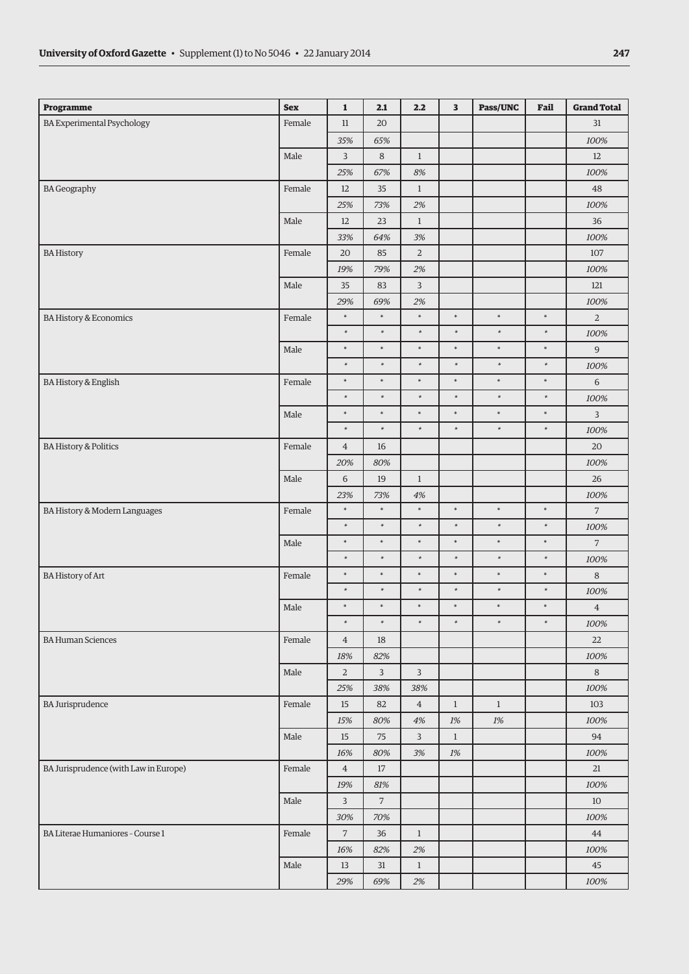| Programme                             | <b>Sex</b> | $\mathbf{1}$     | 2.1              | 2.2              | 3                | Pass/UNC         | Fail             | <b>Grand Total</b> |
|---------------------------------------|------------|------------------|------------------|------------------|------------------|------------------|------------------|--------------------|
| <b>BA Experimental Psychology</b>     | Female     | 11               | 20               |                  |                  |                  |                  | 31                 |
|                                       |            | 35%              | 65%              |                  |                  |                  |                  | 100%               |
|                                       | Male       | 3                | $\,8\,$          | $\mathbf{1}$     |                  |                  |                  | 12                 |
|                                       |            | 25%              | 67%              | $8\%$            |                  |                  |                  | 100%               |
| <b>BA</b> Geography                   | Female     | 12               | 35               | $\mathbf{1}$     |                  |                  |                  | 48                 |
|                                       |            | 25%              | 73%              | 2%               |                  |                  |                  | 100%               |
|                                       | Male       | 12               | 23               | $1\,$            |                  |                  |                  | 36                 |
|                                       |            | 33%              | 64%              | 3%               |                  |                  |                  | 100%               |
| <b>BA History</b>                     | Female     | 20               | 85               | $\sqrt{2}$       |                  |                  |                  | 107                |
|                                       |            | 19%              | 79%              | 2%               |                  |                  |                  | 100%               |
|                                       | Male       | 35               | 83               | $\mathbf{3}$     |                  |                  |                  | 121                |
|                                       |            | 29%              | 69%              | 2%               |                  |                  |                  | 100%               |
| <b>BA History &amp; Economics</b>     | Female     | $\ast$           | $\ast$           | $\ast$           | $\ast$           | $\ast$           | $\ast$           | $\overline{a}$     |
|                                       |            | $\ast$           | $\ast$           | $\ast$           | $\ast$           | $\ast$           | $\ast$           | 100%               |
|                                       | Male       | $\ast$<br>$\ast$ | $\ast$<br>$\ast$ | $\ast$           | $\ast$<br>$\ast$ | $\ast$<br>$\ast$ | $\ast$           | $\overline{9}$     |
|                                       |            | $\ast$           | $\ast$           | $\ast$<br>$\ast$ | $\ast$           | $\ast$           | $\ast$<br>$\ast$ | 100%               |
| <b>BA History &amp; English</b>       | Female     | $\ast$           | $\ast$           | $\ast$           | $\ast$           | $\ast$           | $\ast$           | 6                  |
|                                       |            | $\ast$           | $\ast$           | $\ast$           | $\ast$           | $\ast$           | $\ast$           | 100%               |
|                                       | Male       | $\ast$           | $\ast$           | $\ast$           | $\ast$           | $\ast$           | $\ast$           | $\mathbf{3}$       |
|                                       |            |                  |                  |                  |                  |                  |                  | 100%               |
| <b>BA History &amp; Politics</b>      | Female     | $\overline{4}$   | 16               |                  |                  |                  |                  | $20\,$             |
|                                       | Male       | 20%<br>6         | 80%<br>19        | $1\,$            |                  |                  |                  | 100%<br>26         |
|                                       |            | 23%              | 73%              | $4\%$            |                  |                  |                  | 100%               |
| BA History & Modern Languages         | Female     | $\ast$           | $\ast$           | $\ast$           | $\ast$           | $\ast$           | $\ast$           | $\overline{7}$     |
|                                       |            | $\ast$           | $\ast$           | $\ast$           | $\ast$           | $\ast$           | $\ast$           | 100%               |
|                                       | Male       | $\ast$           | $\ast$           | $\ast$           | $\ast$           | $\ast$           | $\ast$           | $\overline{7}$     |
|                                       |            | $\ast$           | $\ast$           | $\ast$           | $\ast$           | $\ast$           | $\ast$           | 100%               |
| <b>BA History of Art</b>              | Female     | $\ast$           | $\ast$           | $\ast$           | $\ast$           | $\ast$           | $\ast$           | 8                  |
|                                       |            | $\ast$           | $\ast$           | $\ast$           | $\ast$           | $\ast$           | $\ast$           | 100%               |
|                                       | Male       | $\ast$           | $\ast$           | $\ast$           | $\ast$           | $\ast$           | $\ast$           | $\overline{4}$     |
|                                       |            | $\ast$           | $\ast$           | $\ast$           | $\ast$           | $\ast$           | $\ast$           | $100\%$            |
| <b>BA Human Sciences</b>              | Female     | $\overline{4}$   | 18               |                  |                  |                  |                  | 22                 |
|                                       |            | $18\%$           | 82%              |                  |                  |                  |                  | 100%               |
|                                       | Male       | $\overline{a}$   | $\overline{3}$   | $\overline{3}$   |                  |                  |                  | $\,8\,$            |
|                                       |            | 25%              | 38%              | 38%              |                  |                  |                  | 100%               |
| <b>BA Jurisprudence</b>               | Female     | 15               | 82               | $\overline{4}$   | $\mathbf{1}$     | $\mathbf{1}$     |                  | 103                |
|                                       |            | 15%              | 80%              | $4\%$            | 1%               | $1\%$            |                  | 100%               |
|                                       | Male       | 15               | 75               | $\overline{3}$   | $\mathbf{1}$     |                  |                  | 94                 |
|                                       |            | $16\%$           | 80%              | $3\%$            | $1\%$            |                  |                  | 100%               |
| BA Jurisprudence (with Law in Europe) | Female     | $\overline{4}$   | 17               |                  |                  |                  |                  | 21                 |
|                                       |            | 19%              | $81\%$           |                  |                  |                  |                  | 100%               |
|                                       | Male       | 3                | $\overline{7}$   |                  |                  |                  |                  | 10                 |
|                                       |            | 30%              | 70%              |                  |                  |                  |                  | 100%               |
| BA Literae Humaniores - Course 1      | Female     | $\overline{7}$   | 36               | $\mathbf{1}$     |                  |                  |                  | 44                 |
|                                       |            | $16\%$           | 82%              | $2\%$            |                  |                  |                  | 100%               |
|                                       | Male       | 13               | 31               | $\mathbf{1}$     |                  |                  |                  | 45                 |
|                                       |            | 29%              | 69%              | $2\%$            |                  |                  |                  | 100%               |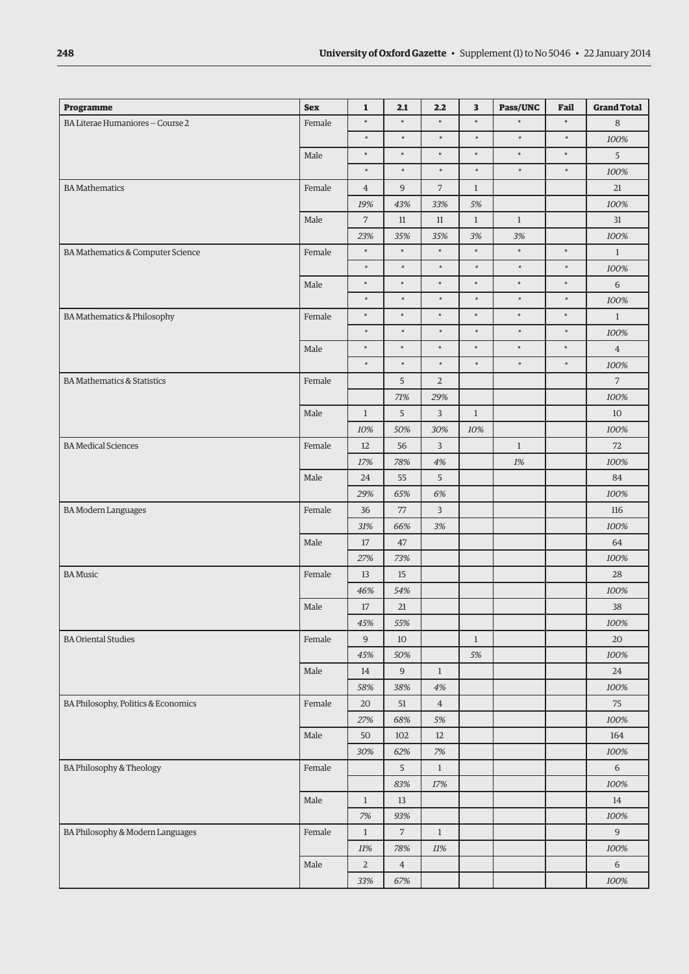| Programme                              | <b>Sex</b> | $\mathbf{1}$   | 2.1            | 2.2            | 3            | Pass/UNC     | Fail   | <b>Grand Total</b> |
|----------------------------------------|------------|----------------|----------------|----------------|--------------|--------------|--------|--------------------|
| BA Literae Humaniores - Course 2       | Female     | $\ast$         | $\ast$         | $\ast$         | $\ast$       | $\ast$       | $\ast$ | 8                  |
|                                        |            | $\ast$         | $\ast$         | $\ast$         | $\ast$       | $\ast$       | $\ast$ | 100%               |
|                                        | Male       | $\ast$         | $\ast$         | $\ast$         | $\ast$       | $\ast$       | $\ast$ | $5\overline{)}$    |
|                                        |            | $\ast$         | $\ast$         | $\ast$         | $\ast$       | $\ast$       | $\ast$ | 100%               |
| <b>BA</b> Mathematics                  | Female     | $\overline{4}$ | 9              | $\overline{7}$ | $\mathbf{1}$ |              |        | 21                 |
|                                        |            | 19%            | 43%            | 33%            | 5%           |              |        | 100%               |
|                                        | Male       | 7              | $11\,$         | $11\,$         | $\mathbf{1}$ | $\mathbf{1}$ |        | 31                 |
|                                        |            | 23%            | 35%            | 35%            | 3%           | 3%           |        | 100%               |
| BA Mathematics & Computer Science      | Female     | $\ast$         | $\ast$         | $\ast$         | $\ast$       | $\ast$       | $\ast$ | $\mathbf{1}$       |
|                                        |            | $\ast$         | $\ast$         | $\ast$         | $\ast$       | $\ast$       | $\ast$ | 100%               |
|                                        | Male       | $\ast$         | $\ast$         | $\ast$         | $\ast$       | $\ast$       | $\ast$ | 6                  |
|                                        |            | $\ast$         | $\ast$         | $\ast$         | $\ast$       | $\ast$       | $\ast$ | 100%               |
| BA Mathematics & Philosophy            | Female     | $\ast$         | $\ast$         | $\ast$         | $\ast$       | $\ast$       | $\ast$ | $\mathbf{1}$       |
|                                        |            | $\ast$         | $\ast$         | $\ast$         | $\ast$       | $\ast$       | $\ast$ | 100%               |
|                                        | Male       | $\ast$         | $\ast$         | $\ast$         | $\ast$       | $\ast$       | $\ast$ | $\overline{4}$     |
|                                        |            | $\ast$         | $\ast$         | $\ast$         | $\ast$       | $\ast$       | $\ast$ | 100%               |
| <b>BA Mathematics &amp; Statistics</b> | Female     |                | 5              | $\sqrt{2}$     |              |              |        | $\overline{7}$     |
|                                        |            |                | 71%            | 29%            |              |              |        | 100%               |
|                                        | Male       | $\mathbf{1}$   | 5              | 3              | $\mathbf{1}$ |              |        | 10                 |
|                                        |            | 10%            | 50%            | 30%            | 10%          |              |        | 100%               |
| <b>BA Medical Sciences</b>             | Female     | 12             | 56             | 3              |              | $\mathbf{1}$ |        | $72\,$             |
|                                        |            | 17%            | 78%            | 4%             |              | 1%           |        | 100%               |
|                                        | Male       | 24             | 55             | $\sqrt{5}$     |              |              |        | 84                 |
|                                        |            | 29%            | 65%            | 6%             |              |              |        | 100%               |
|                                        | Female     | 36             | 77             | $\overline{3}$ |              |              |        | 116                |
| <b>BA Modern Languages</b>             |            | 31%            | 66%            | 3%             |              |              |        | 100%               |
|                                        | Male       | 17             | $47\,$         |                |              |              |        | 64                 |
|                                        |            | 27%            | 73%            |                |              |              |        | 100%               |
| <b>BA</b> Music                        | Female     | 13             | 15             |                |              |              |        | 28                 |
|                                        |            | 46%            | 54%            |                |              |              |        | 100%               |
|                                        | Male       | 17             | $21\,$         |                |              |              |        | 38                 |
| <b>BA Oriental Studies</b>             | Female     | 45%<br>9       | 55%<br>$10\,$  |                | $\mathbf{1}$ |              |        | 100%<br>$20\,$     |
|                                        |            | 45%            | 50%            |                | $5\%$        |              |        | 100%               |
|                                        | Male       | 14             | $\overline{9}$ | $1\,$          |              |              |        | 24                 |
|                                        |            | 58%            | 38%            | 4%             |              |              |        | 100%               |
| BA Philosophy, Politics & Economics    | Female     | 20             | $51\,$         | $\overline{4}$ |              |              |        | $75\,$             |
|                                        |            | 27%            | 68%            | 5%             |              |              |        | 100%               |
|                                        | Male       | 50             | 102            | $12\,$         |              |              |        | 164                |
|                                        |            | 30%            | 62%            | 7%             |              |              |        | 100%               |
| BA Philosophy & Theology               | Female     |                | 5              | $\mathbf{1}$   |              |              |        | 6                  |
|                                        |            |                | 83%            | 17%            |              |              |        | 100%               |
|                                        | Male       | $\mathbf{1}$   | 13             |                |              |              |        | 14                 |
|                                        |            | 7%             | 93%            |                |              |              |        | 100%               |
| BA Philosophy & Modern Languages       | Female     | $\mathbf{1}$   | $\overline{7}$ | $\mathbf{1}$   |              |              |        | 9                  |
|                                        |            | $11\%$         | 78%            | 11%            |              |              |        | 100%               |
|                                        | Male       | $\overline{2}$ | $\overline{4}$ |                |              |              |        | 6                  |
|                                        |            |                |                |                |              |              |        |                    |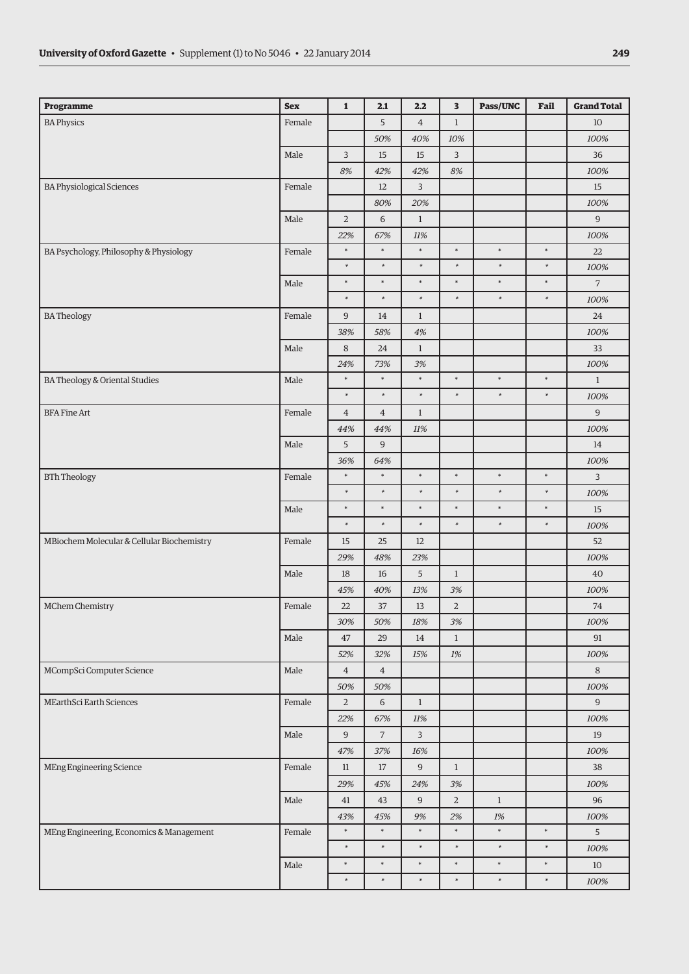| Programme                                  | <b>Sex</b> | $\mathbf{1}$   | 2.1            | 2.2            | 3              | Pass/UNC     | Fail   | <b>Grand Total</b> |
|--------------------------------------------|------------|----------------|----------------|----------------|----------------|--------------|--------|--------------------|
| <b>BA Physics</b>                          | Female     |                | 5              | $\overline{4}$ | $\mathbf{1}$   |              |        | 10                 |
|                                            |            |                | 50%            | 40%            | 10%            |              |        | 100%               |
|                                            | Male       | 3              | 15             | 15             | 3              |              |        | 36                 |
|                                            |            | 8%             | 42%            | 42%            | 8%             |              |        | 100%               |
| <b>BA Physiological Sciences</b>           | Female     |                | 12             | $\overline{3}$ |                |              |        | 15                 |
|                                            |            |                | 80%            | 20%            |                |              |        | 100%               |
|                                            | Male       | $\overline{2}$ | $\,$ 6 $\,$    | $\mathbf{1}$   |                |              |        | $9\,$              |
|                                            |            | 22%            | 67%            | 11%            |                |              |        | 100%               |
| BA Psychology, Philosophy & Physiology     | Female     | $\ast$         | $\ast$         | $\ast$         | $\ast$         | $\ast$       | $\ast$ | 22                 |
|                                            |            | $\ast$         | $\ast$         | $\ast$         | $\ast$         | $\ast$       | $\ast$ | 100%               |
|                                            | Male       | $\ast$         | $\ast$         | $\ast$         | $\ast$         | $\ast$       | $\ast$ | $\overline{7}$     |
|                                            |            | $\ast$         | $\ast$         | $\ast$         | $\ast$         | $\ast$       | $\ast$ | 100%               |
| <b>BATheology</b>                          | Female     | 9              | 14             | $\mathbf{1}$   |                |              |        | 24                 |
|                                            |            | 38%            | 58%            | 4%             |                |              |        | 100%               |
|                                            | Male       | 8              | 24             | $\mathbf{1}$   |                |              |        | 33                 |
|                                            |            | 24%            | 73%            | 3%             |                |              |        | 100%               |
| BA Theology & Oriental Studies             | Male       | $\ast$         | $\ast$         | $\ast$         | $\ast$         | $\ast$       | $\ast$ | $\mathbf{1}$       |
|                                            |            | $\ast$         | $\ast$         | $\ast$         | $\ast$         | $\ast$       | $\ast$ | 100%               |
| <b>BFA Fine Art</b>                        | Female     | $\overline{4}$ | $\,4$          | $\mathbf{1}$   |                |              |        | $\boldsymbol{9}$   |
|                                            |            | 44%            | 44%            | 11%            |                |              |        | 100%               |
|                                            | Male       | 5              | 9              |                |                |              |        | 14                 |
|                                            |            | 36%            | 64%            |                |                |              |        | 100%               |
| <b>BTh Theology</b>                        | Female     | $\ast$         | $\ast$         | $\ast$         | $\ast$         | $\ast$       | $\ast$ | $\overline{3}$     |
|                                            |            | $\ast$         | $\ast$         | $\ast$         | $\ast$         | $\ast$       | $\ast$ | 100%               |
|                                            | Male       | $\ast$         | $\ast$         | $\ast$         | $\ast$         | $\ast$       | $\ast$ | 15                 |
|                                            |            | $\ast$         | $\ast$         | $\ast$         | $\ast$         | $\ast$       | $\ast$ | 100%               |
| MBiochem Molecular & Cellular Biochemistry | Female     | 15             | 25             | 12             |                |              |        | 52                 |
|                                            |            | 29%            | 48%            | 23%            |                |              |        | 100%               |
|                                            | Male       | 18             | 16             | 5              | $\mathbf{1}$   |              |        | 40                 |
|                                            |            | 45%            | 40%            | 13%            | 3%             |              |        | 100%               |
| MChem Chemistry                            | Female     | 22             | 37             | 13             | $\overline{2}$ |              |        | 74                 |
|                                            |            | 30%            | 50%            | 18%            | $3\%$          |              |        | 100%               |
|                                            | Male       | 47             | 29             | $14\,$         | $\mathbf{1}$   |              |        | $91\,$             |
|                                            |            | 52%            | 32%            | 15%            | 1%             |              |        | 100%               |
| MCompSci Computer Science                  | Male       | $\overline{4}$ | $\overline{4}$ |                |                |              |        | $\,8\,$            |
|                                            |            | 50%            | 50%            |                |                |              |        | 100%               |
| MEarthSci Earth Sciences                   | Female     | $\overline{2}$ | 6              | $\mathbf{1}$   |                |              |        | 9                  |
|                                            |            | 22%            | 67%            | 11%            |                |              |        | 100%               |
|                                            | Male       | $\overline{9}$ | $\overline{7}$ | $\overline{3}$ |                |              |        | $19\,$             |
|                                            |            | 47%            | 37%            | 16%            |                |              |        | 100%               |
| MEng Engineering Science                   | Female     | 11             | 17             | $9\,$          | $\mathbf{1}$   |              |        | 38                 |
|                                            |            | 29%            | 45%            | 24%            | 3%             |              |        | 100%               |
|                                            | Male       | 41             | 43             | 9              | $\overline{2}$ | $\mathbf{1}$ |        | 96                 |
|                                            |            | 43%            | 45%            | 9%             | 2%             | $1\%$        |        | 100%               |
| MEng Engineering, Economics & Management   | Female     | $\ast$         | $\ast$         | $\ast$         | $\ast$         | $\ast$       | $\ast$ | 5                  |
|                                            |            | $\ast$         | $\ast$         | $\ast$         | $\ast$         | $\ast$       | $\ast$ | 100%               |
|                                            | Male       | $\ast$         | $\ast$         | $\ast$         | $\ast$         | $\ast$       | $\ast$ | 10                 |
|                                            |            | $\ast$         | $\ast$         | $\ast$         | $\ast$         | $\ast$       | $\ast$ | 100%               |
|                                            |            |                |                |                |                |              |        |                    |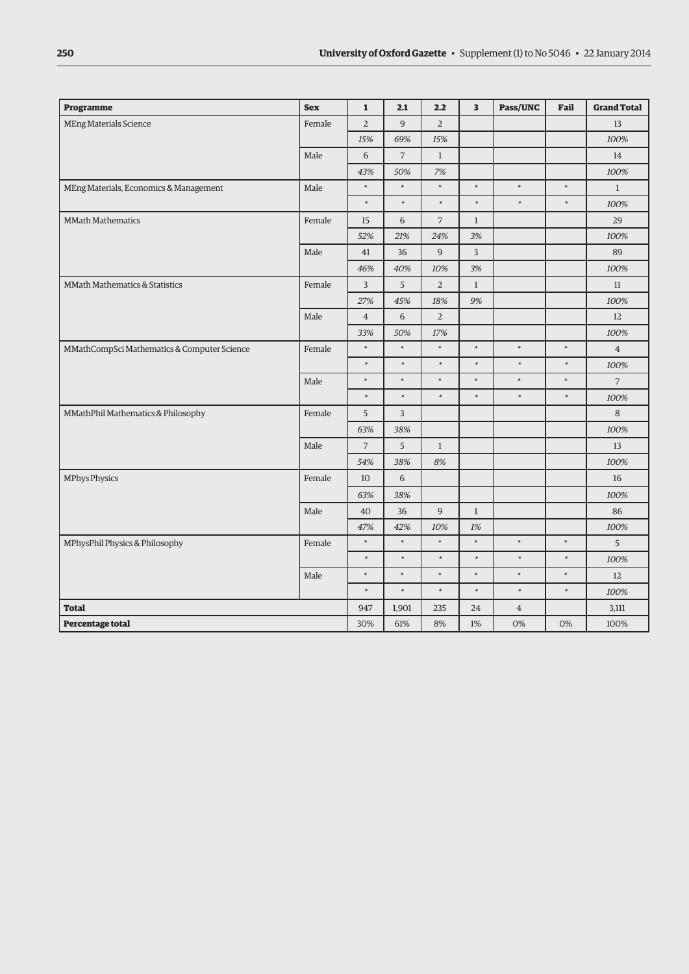| Programme                                   | <b>Sex</b> | $\mathbf{1}$   | 2.1            | 2.2            | 3            | Pass/UNC       | Fail   | <b>Grand Total</b> |
|---------------------------------------------|------------|----------------|----------------|----------------|--------------|----------------|--------|--------------------|
| <b>MEng Materials Science</b>               | Female     | $\overline{2}$ | $\overline{9}$ | $\overline{2}$ |              |                |        | 13                 |
|                                             |            | 15%            | 69%            | 15%            |              |                |        | 100%               |
|                                             | Male       | 6              | $\sqrt{2}$     | $1\,$          |              |                |        | $14\,$             |
|                                             |            | 43%            | 50%            | 7%             |              |                |        | 100%               |
| MEng Materials, Economics & Management      | Male       | $\ast$         | $\ast$         | $\ast$         | $\ast$       | $\ast$         | $\ast$ | $\mathbf{1}$       |
|                                             |            | $\ast$         | $\ast$         | $\ast$         | $\ast$       | $\ast$         | $\ast$ | 100%               |
| <b>MMath Mathematics</b>                    | Female     | 15             | 6              | $\overline{7}$ | $\mathbf{1}$ |                |        | 29                 |
|                                             |            | 52%            | 21%            | 24%            | 3%           |                |        | 100%               |
|                                             | Male       | 41             | 36             | 9              | 3            |                |        | 89                 |
|                                             |            | 46%            | 40%            | $10\%$         | $3\%$        |                |        | 100%               |
| MMath Mathematics & Statistics              | Female     | 3              | 5              | $\overline{2}$ | $\mathbf{1}$ |                |        | 11                 |
|                                             |            | 27%            | 45%            | 18%            | 9%           |                |        | 100%               |
|                                             | Male       | $\overline{4}$ | 6              | 2              |              |                |        | 12                 |
|                                             |            | 33%            | 50%            | 17%            |              |                |        | 100%               |
| MMathCompSci Mathematics & Computer Science | Female     | $\ast$         | $\ast$         | $\ast$         | $\ast$       | $\ast$         | $\ast$ | $\overline{4}$     |
|                                             |            | $\ast$         | $\ast$         | $\ast$         | $\ast$       | $\ast$         | $\ast$ | 100%               |
|                                             | Male       | $\ast$         | $\ast$         | $\ast$         | $\ast$       | $\ast$         | $\ast$ | $\overline{7}$     |
|                                             |            | $\ast$         | $\ast$         | $\ast$         | $\ast$       | $\ast$         | $\ast$ | 100%               |
| MMathPhil Mathematics & Philosophy          | Female     | 5              | 3              |                |              |                |        | 8                  |
|                                             |            | 63%            | 38%            |                |              |                |        | 100%               |
|                                             | Male       | $\overline{7}$ | 5              | $\mathbf{1}$   |              |                |        | 13                 |
|                                             |            | 54%            | 38%            | 8%             |              |                |        | 100%               |
| <b>MPhys Physics</b>                        | Female     | 10             | 6              |                |              |                |        | 16                 |
|                                             |            | 63%            | 38%            |                |              |                |        | 100%               |
|                                             | Male       | 40             | 36             | $\overline{9}$ | $1\,$        |                |        | 86                 |
|                                             |            | 47%            | 42%            | 10%            | $1\%$        |                |        | 100%               |
| MPhysPhil Physics & Philosophy              | Female     | $\ast$         | $\ast$         | $\ast$         | $\ast$       | $\ast$         | $\ast$ | 5                  |
|                                             |            | $\ast$         | $\ast$         | $\ast$         | $\ast$       | $\ast$         | $\ast$ | 100%               |
|                                             | Male       | $\ast$         | $\ast$         | $\ast$         | $\ast$       | $\ast$         | $\ast$ | 12                 |
|                                             |            | $\ast$         | $\ast$         | $\ast$         | $\ast$       | $\ast$         | $\ast$ | 100%               |
| <b>Total</b>                                |            |                | 1,901          | 235            | 24           | $\overline{4}$ |        | 3,111              |
| Percentage total                            |            | 30%            | 61%            | 8%             | 1%           | 0%             | 0%     | 100%               |